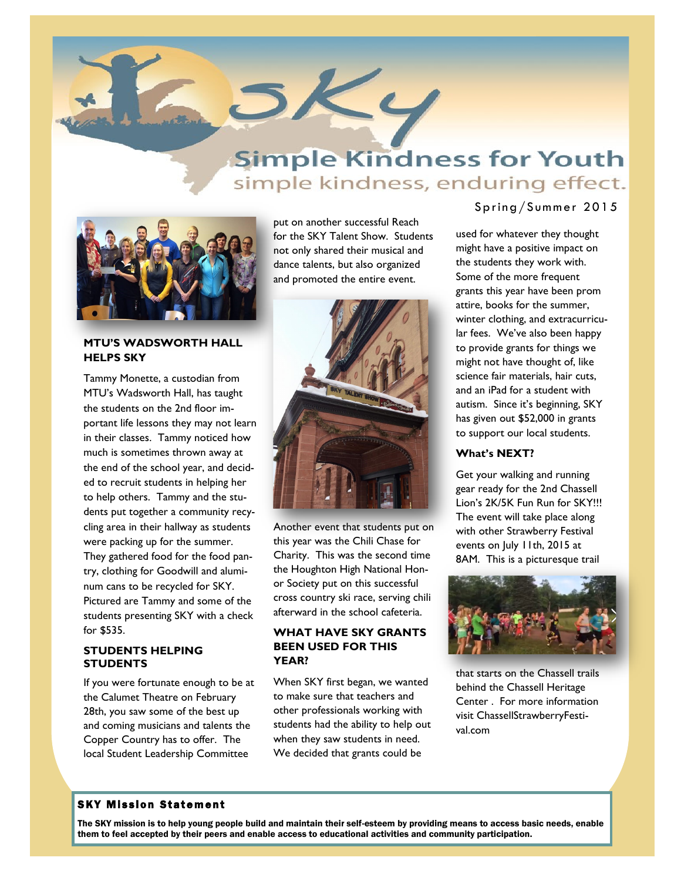

# **Simple Kindness for Youth** simple kindness, enduring effect.



#### **MTU'S WADSWORTH HALL HELPS SKY**

Tammy Monette, a custodian from MTU's Wadsworth Hall, has taught the students on the 2nd floor important life lessons they may not learn in their classes. Tammy noticed how much is sometimes thrown away at the end of the school year, and decided to recruit students in helping her to help others. Tammy and the students put together a community recycling area in their hallway as students were packing up for the summer. They gathered food for the food pantry, clothing for Goodwill and aluminum cans to be recycled for SKY. Pictured are Tammy and some of the students presenting SKY with a check for \$535.

#### **STUDENTS HELPING STUDENTS**

If you were fortunate enough to be at the Calumet Theatre on February 28th, you saw some of the best up and coming musicians and talents the Copper Country has to offer. The local Student Leadership Committee

put on another successful Reach for the SKY Talent Show. Students not only shared their musical and dance talents, but also organized and promoted the entire event.



Another event that students put on this year was the Chili Chase for Charity. This was the second time the Houghton High National Honor Society put on this successful cross country ski race, serving chili afterward in the school cafeteria.

### **WHAT HAVE SKY GRANTS BEEN USED FOR THIS YEAR?**

When SKY first began, we wanted to make sure that teachers and other professionals working with students had the ability to help out when they saw students in need. We decided that grants could be

## Spring/Summer 2015

used for whatever they thought might have a positive impact on the students they work with. Some of the more frequent grants this year have been prom attire, books for the summer, winter clothing, and extracurricular fees. We've also been happy to provide grants for things we might not have thought of, like science fair materials, hair cuts, and an iPad for a student with autism. Since it's beginning, SKY has given out \$52,000 in grants to support our local students.

#### **What's NEXT?**

Get your walking and running gear ready for the 2nd Chassell Lion's 2K/5K Fun Run for SKY!!! The event will take place along with other Strawberry Festival events on July 11th, 2015 at 8AM. This is a picturesque trail



that starts on the Chassell trails behind the Chassell Heritage Center . For more information visit ChassellStrawberryFestival.com

# **SKY Mission Statement**

The SKY mission is to help young people build and maintain their self-esteem by providing means to access basic needs, enable them to feel accepted by their peers and enable access to educational activities and community participation.